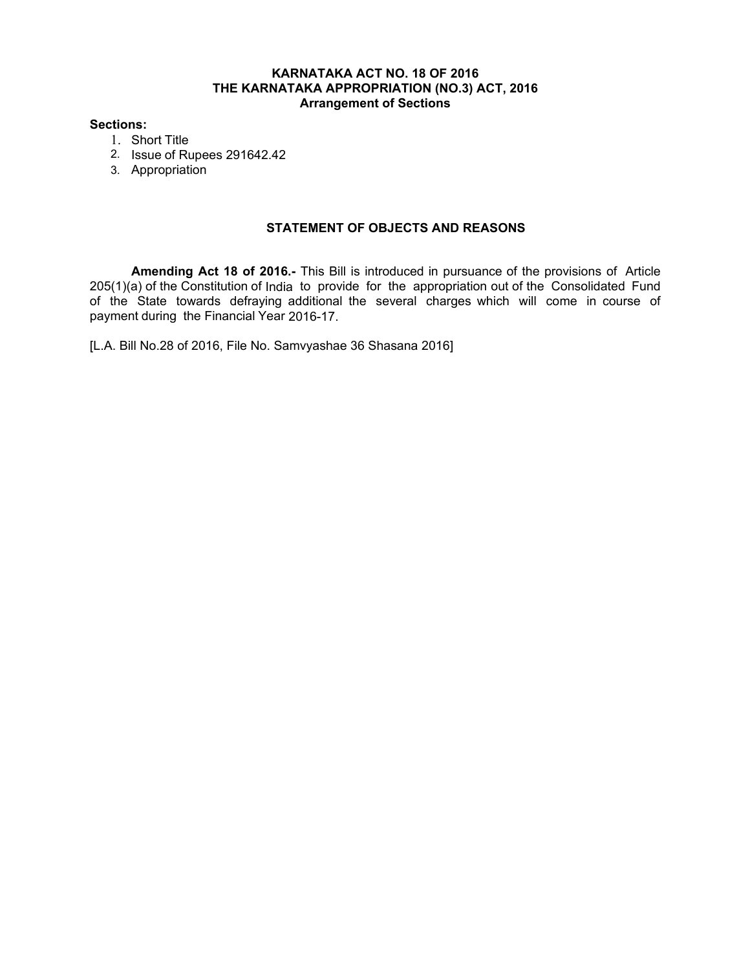#### **KARNATAKA ACT NO. 18 OF 2016 THE KARNATAKA APPROPRIATION (NO.3) ACT, 2016 Arrangement of Sections**

#### **Sections:**

- 1. Short Title
- 2. Issue of Rupees 291642.42
- 3. Appropriation

### **STATEMENT OF OBJECTS AND REASONS**

**Amending Act 18 of 2016.-** This Bill is introduced in pursuance of the provisions of Article 205(1)(a) of the Constitution of India to provide for the appropriation out of the Consolidated Fund of the State towards defraying additional the several charges which will come in course of payment during the Financial Year 2016-17.

[L.A. Bill No.28 of 2016, File No. Samvyashae 36 Shasana 2016]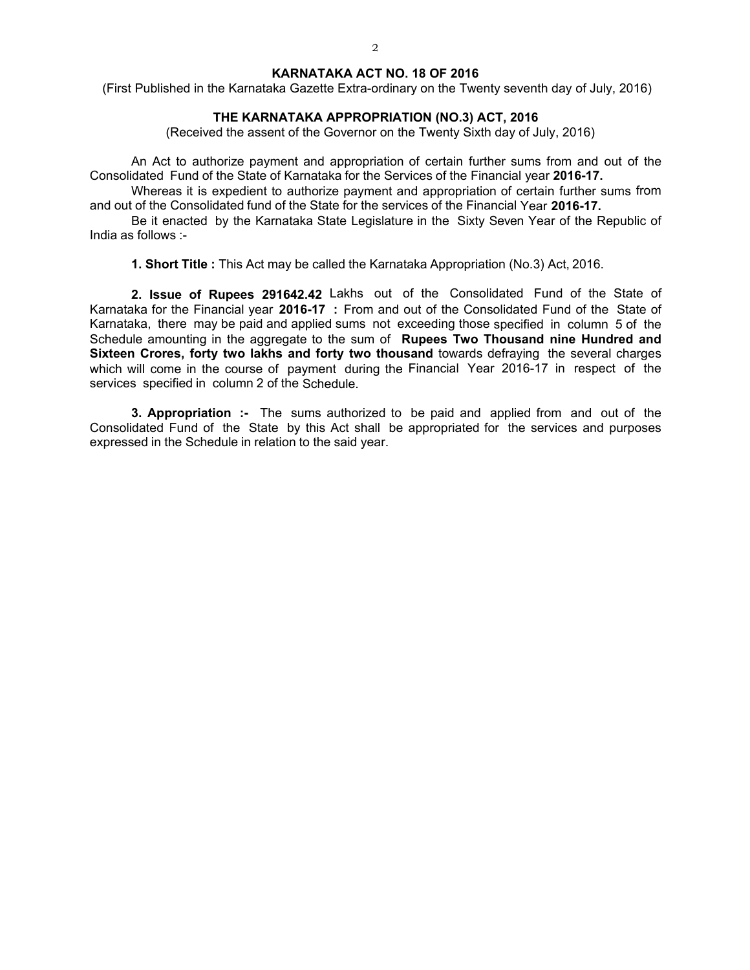#### **KARNATAKA ACT NO. 18 OF 2016**

(First Published in the Karnataka Gazette Extra-ordinary on the Twenty seventh day of July, 2016)

#### **THE KARNATAKA APPROPRIATION (NO.3) ACT, 2016**

(Received the assent of the Governor on the Twenty Sixth day of July, 2016)

An Act to authorize payment and appropriation of certain further sums from and out of the Consolidated Fund of the State of Karnataka for the Services of the Financial year **2016-17.** 

Whereas it is expedient to authorize payment and appropriation of certain further sums from and out of the Consolidated fund of the State for the services of the Financial Year **2016-17.** 

Be it enacted by the Karnataka State Legislature in the Sixty Seven Year of the Republic of India as follows :-

**1. Short Title :** This Act may be called the Karnataka Appropriation (No.3) Act, 2016.

**2. Issue of Rupees 291642.42** Lakhs out of the Consolidated Fund of the State of Karnataka for the Financial year **2016-17 :** From and out of the Consolidated Fund of the State of Karnataka, there may be paid and applied sums not exceeding those specified in column 5 of the Schedule amounting in the aggregate to the sum of **Rupees Two Thousand nine Hundred and Sixteen Crores, forty two lakhs and forty two thousand** towards defraying the several charges which will come in the course of payment during the Financial Year 2016-17 in respect of the services specified in column 2 of the Schedule.

**3. Appropriation :-** The sums authorized to be paid and applied from and out of the Consolidated Fund of the State by this Act shall be appropriated for the services and purposes expressed in the Schedule in relation to the said year.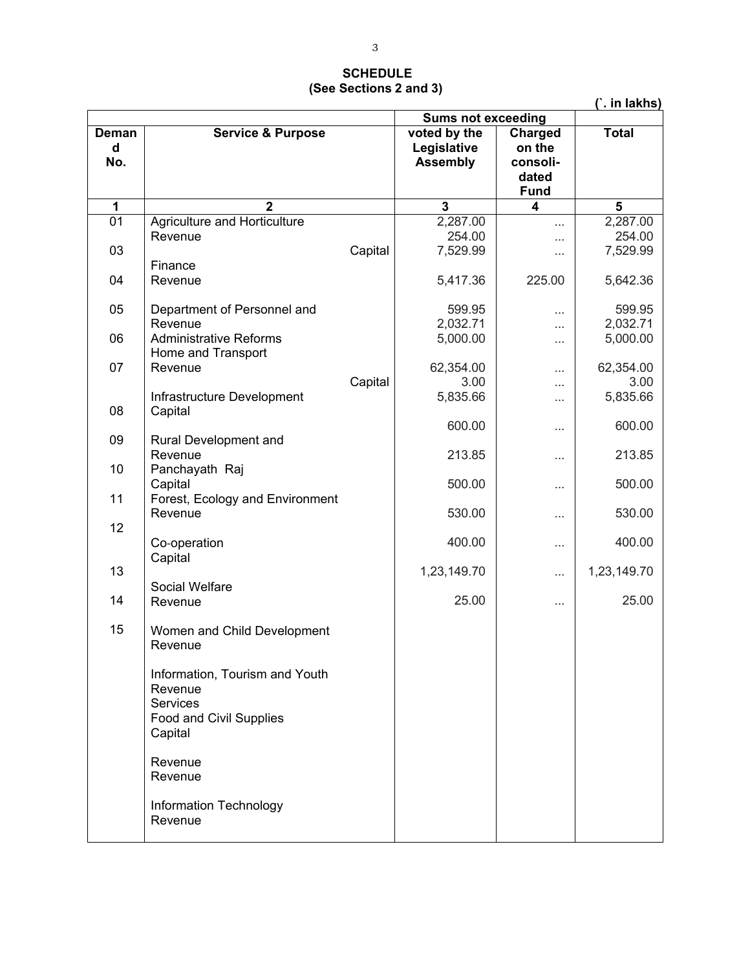# **SCHEDULE (See Sections 2 and 3)**

|                   |                                                                                             |                           |                                                |                                                       | (`. in lakhs)                              |
|-------------------|---------------------------------------------------------------------------------------------|---------------------------|------------------------------------------------|-------------------------------------------------------|--------------------------------------------|
|                   |                                                                                             | <b>Sums not exceeding</b> |                                                |                                                       |                                            |
| Deman<br>d<br>No. | <b>Service &amp; Purpose</b>                                                                |                           | voted by the<br>Legislative<br><b>Assembly</b> | Charged<br>on the<br>consoli-<br>dated<br><b>Fund</b> | <b>Total</b>                               |
| 1                 | $\mathbf{2}$                                                                                |                           | 3                                              | 4                                                     | 5                                          |
| 01<br>03<br>04    | Agriculture and Horticulture<br>Revenue<br>Finance<br>Revenue                               | Capital                   | 2,287.00<br>254.00<br>7,529.99<br>5,417.36     | <br>.<br>$\cdots$<br>225.00                           | 2,287.00<br>254.00<br>7,529.99<br>5,642.36 |
| 05                | Department of Personnel and<br>Revenue                                                      |                           | 599.95<br>2,032.71                             | .                                                     | 599.95<br>2,032.71                         |
| 06                | <b>Administrative Reforms</b><br>Home and Transport                                         |                           | 5,000.00                                       | .<br>.                                                | 5,000.00                                   |
| 07<br>08          | Revenue<br>Infrastructure Development<br>Capital                                            | Capital                   | 62,354.00<br>3.00<br>5,835.66                  | <br>.<br>.                                            | 62,354.00<br>3.00<br>5,835.66              |
| 09                | Rural Development and                                                                       |                           | 600.00                                         | .                                                     | 600.00                                     |
| 10                | Revenue<br>Panchayath Raj                                                                   |                           | 213.85<br>500.00                               | $\cdots$                                              | 213.85<br>500.00                           |
| 11                | Capital<br>Forest, Ecology and Environment<br>Revenue                                       |                           | 530.00                                         | .<br>.                                                | 530.00                                     |
| 12                | Co-operation                                                                                |                           | 400.00                                         | .                                                     | 400.00                                     |
| 13                | Capital                                                                                     |                           | 1,23,149.70                                    |                                                       | 1,23,149.70                                |
| 14                | Social Welfare<br>Revenue                                                                   |                           | 25.00                                          | .                                                     | 25.00                                      |
| 15                | Women and Child Development<br>Revenue                                                      |                           |                                                |                                                       |                                            |
|                   | Information, Tourism and Youth<br>Revenue<br>Services<br>Food and Civil Supplies<br>Capital |                           |                                                |                                                       |                                            |
|                   | Revenue<br>Revenue                                                                          |                           |                                                |                                                       |                                            |
|                   | Information Technology<br>Revenue                                                           |                           |                                                |                                                       |                                            |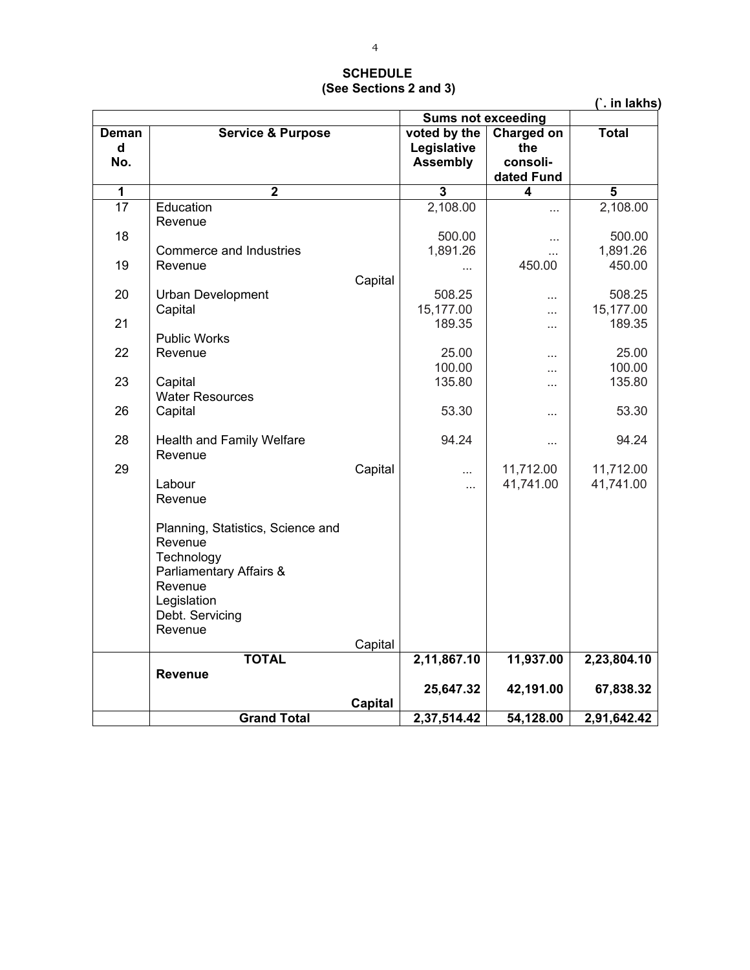## **SCHEDULE (See Sections 2 and 3)**

|            |                                    |                           |                             |                        | (`. in lakhs) |
|------------|------------------------------------|---------------------------|-----------------------------|------------------------|---------------|
|            |                                    | <b>Sums not exceeding</b> |                             |                        |               |
| Deman<br>d | <b>Service &amp; Purpose</b>       |                           | voted by the<br>Legislative | Charged on<br>the      | <b>Total</b>  |
| No.        |                                    |                           | <b>Assembly</b>             | consoli-<br>dated Fund |               |
| 1          | $\overline{2}$                     |                           | 3                           | 4                      | 5             |
| 17         | Education                          |                           | 2,108.00                    | $\cdots$               | 2,108.00      |
| 18         | Revenue                            |                           | 500.00                      | $\cdots$               | 500.00        |
|            | Commerce and Industries            |                           | 1,891.26                    | $\ddotsc$              | 1,891.26      |
| 19         | Revenue                            |                           |                             | 450.00                 | 450.00        |
|            |                                    | Capital                   |                             |                        |               |
| 20         | <b>Urban Development</b>           |                           | 508.25                      | .                      | 508.25        |
|            | Capital                            |                           | 15,177.00                   |                        | 15,177.00     |
| 21         |                                    |                           | 189.35                      | .                      | 189.35        |
| 22         | <b>Public Works</b>                |                           | 25.00                       |                        | 25.00         |
|            | Revenue                            |                           | 100.00                      | $\cdots$               | 100.00        |
| 23         | Capital                            |                           | 135.80                      | $\cdots$               | 135.80        |
|            | <b>Water Resources</b>             |                           |                             | $\cdots$               |               |
| 26         | Capital                            |                           | 53.30                       |                        | 53.30         |
| 28         | Health and Family Welfare          |                           | 94.24                       | $\cdots$               | 94.24         |
|            | Revenue                            |                           |                             |                        |               |
| 29         |                                    | Capital                   | .                           | 11,712.00              | 11,712.00     |
|            | Labour                             |                           | $\cdots$                    | 41,741.00              | 41,741.00     |
|            | Revenue                            |                           |                             |                        |               |
|            | Planning, Statistics, Science and  |                           |                             |                        |               |
|            | Revenue                            |                           |                             |                        |               |
|            | Technology                         |                           |                             |                        |               |
|            | Parliamentary Affairs &<br>Revenue |                           |                             |                        |               |
|            | Legislation                        |                           |                             |                        |               |
|            | Debt. Servicing                    |                           |                             |                        |               |
|            | Revenue                            |                           |                             |                        |               |
|            |                                    | Capital                   |                             |                        |               |
|            | <b>TOTAL</b>                       |                           | 2,11,867.10                 | 11,937.00              | 2,23,804.10   |
|            | <b>Revenue</b>                     |                           |                             |                        |               |
|            |                                    | <b>Capital</b>            | 25,647.32                   | 42,191.00              | 67,838.32     |
|            | <b>Grand Total</b>                 |                           | 2,37,514.42                 | 54,128.00              | 2,91,642.42   |